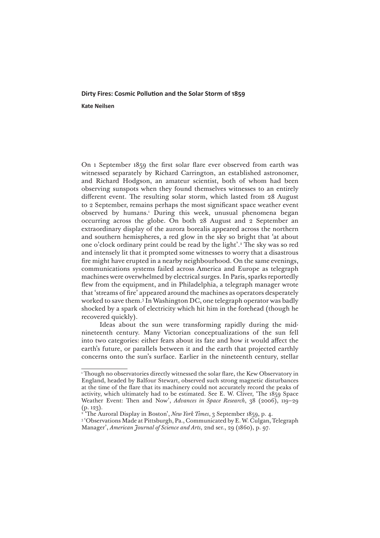## **Dirty Fires: Cosmic Pollution and the Solar Storm of 1859**

**Kate Neilsen**

On 1 September 1859 the first solar flare ever observed from earth was witnessed separately by Richard Carrington, an established astronomer, and Richard Hodgson, an amateur scientist, both of whom had been observing sunspots when they found themselves witnesses to an entirely different event. The resulting solar storm, which lasted from 28 August to 2 September, remains perhaps the most significant space weather event observed by humans.1 During this week, unusual phenomena began occurring across the globe. On both 28 August and 2 September an extraordinary display of the aurora borealis appeared across the northern and southern hemispheres, a red glow in the sky so bright that 'at about one o'clock ordinary print could be read by the light'.2 The sky was so red and intensely lit that it prompted some witnesses to worry that a disastrous fire might have erupted in a nearby neighbourhood. On the same evenings, communications systems failed across America and Europe as telegraph machines were overwhelmed by electrical surges. In Paris, sparks reportedly flew from the equipment, and in Philadelphia, a telegraph manager wrote that 'streams of fire' appeared around the machines as operators desperately worked to save them.3 In Washington DC, one telegraph operator was badly shocked by a spark of electricity which hit him in the forehead (though he recovered quickly).

Ideas about the sun were transforming rapidly during the midnineteenth century. Many Victorian conceptualizations of the sun fell into two categories: either fears about its fate and how it would affect the earth's future, or parallels between it and the earth that projected earthly concerns onto the sun's surface. Earlier in the nineteenth century, stellar

<sup>1</sup> Though no observatories directly witnessed the solar flare, the Kew Observatory in England, headed by Balfour Stewart, observed such strong magnetic disturbances at the time of the flare that its machinery could not accurately record the peaks of activity, which ultimately had to be estimated. See E. W. Cliver, 'The 1859 Space Weather Event: Then and Now', *Advances in Space Research*, 38 (2006), 119–29 (p. 123).

<sup>2</sup> 'The Auroral Display in Boston', *New York Times*, 3 September 1859, p. 4.

<sup>&</sup>lt;sup>3</sup> 'Observations Made at Pittsburgh, Pa., Communicated by E. W. Culgan, Telegraph Manager', *American Journal of Science and Arts*, 2nd ser., 29 (1860), p. 97.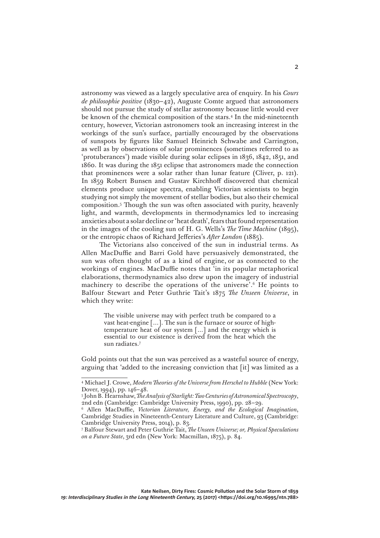astronomy was viewed as a largely speculative area of enquiry. In his *Cours de philosophie positive* (1830–42), Auguste Comte argued that astronomers should not pursue the study of stellar astronomy because little would ever be known of the chemical composition of the stars.4 In the mid-nineteenth century, however, Victorian astronomers took an increasing interest in the workings of the sun's surface, partially encouraged by the observations of sunspots by figures like Samuel Heinrich Schwabe and Carrington, as well as by observations of solar prominences (sometimes referred to as 'protuberances') made visible during solar eclipses in 1836, 1842, 1851, and 1860. It was during the 1851 eclipse that astronomers made the connection that prominences were a solar rather than lunar feature (Cliver, p. 121). In 1859 Robert Bunsen and Gustav Kirchhoff discovered that chemical elements produce unique spectra, enabling Victorian scientists to begin studying not simply the movement of stellar bodies, but also their chemical composition.5 Though the sun was often associated with purity, heavenly light, and warmth, developments in thermodynamics led to increasing anxieties about a solar decline or 'heat death', fears that found representation in the images of the cooling sun of H. G. Wells's *The Time Machine* (1895), or the entropic chaos of Richard Jefferies's *After London* (1885).

The Victorians also conceived of the sun in industrial terms. As Allen MacDuffie and Barri Gold have persuasively demonstrated, the sun was often thought of as a kind of engine, or as connected to the workings of engines. MacDuffie notes that 'in its popular metaphorical elaborations, thermodynamics also drew upon the imagery of industrial machinery to describe the operations of the universe'.6 He points to Balfour Stewart and Peter Guthrie Tait's 1875 *The Unseen Universe*, in which they write:

> The visible universe may with perfect truth be compared to a vast heat-engine […]. The sun is the furnace or source of hightemperature heat of our system […] and the energy which is essential to our existence is derived from the heat which the sun radiates.7

Gold points out that the sun was perceived as a wasteful source of energy, arguing that 'added to the increasing conviction that [it] was limited as a

<sup>4</sup> Michael J. Crowe, *Modern Theories of the Universe from Herschel to Hubble* (New York: Dover, 1994), pp. 146–48.

<sup>5</sup> John B. Hearnshaw, *The Analysis of Starlight: Two Centuries of Astronomical Spectroscopy*, 2nd edn (Cambridge: Cambridge University Press, 1990), pp. 28–29.

<sup>6</sup> Allen MacDuffie, *Victorian Literature, Energy, and the Ecological Imagination*, Cambridge Studies in Nineteenth-Century Literature and Culture, 93 (Cambridge: Cambridge University Press, 2014), p. 83.

<sup>7</sup> Balfour Stewart and Peter Guthrie Tait, *The Unseen Universe; or, Physical Speculations on a Future State*, 3rd edn (New York: Macmillan, 1875), p. 84.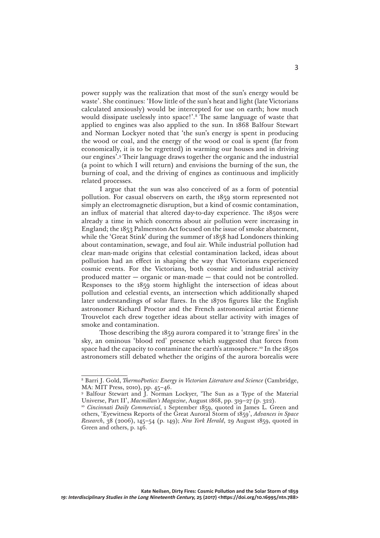power supply was the realization that most of the sun's energy would be waste'. She continues: 'How little of the sun's heat and light (late Victorians calculated anxiously) would be intercepted for use on earth; how much would dissipate uselessly into space!'.8 The same language of waste that applied to engines was also applied to the sun. In 1868 Balfour Stewart and Norman Lockyer noted that 'the sun's energy is spent in producing the wood or coal, and the energy of the wood or coal is spent (far from economically, it is to be regretted) in warming our houses and in driving our engines'.9 Their language draws together the organic and the industrial (a point to which I will return) and envisions the burning of the sun, the burning of coal, and the driving of engines as continuous and implicitly related processes.

I argue that the sun was also conceived of as a form of potential pollution. For casual observers on earth, the 1859 storm represented not simply an electromagnetic disruption, but a kind of cosmic contamination, an influx of material that altered day-to-day experience. The 1850s were already a time in which concerns about air pollution were increasing in England; the 1853 Palmerston Act focused on the issue of smoke abatement, while the 'Great Stink' during the summer of 1858 had Londoners thinking about contamination, sewage, and foul air. While industrial pollution had clear man-made origins that celestial contamination lacked, ideas about pollution had an effect in shaping the way that Victorians experienced cosmic events. For the Victorians, both cosmic and industrial activity produced matter — organic or man-made — that could not be controlled. Responses to the 1859 storm highlight the intersection of ideas about pollution and celestial events, an intersection which additionally shaped later understandings of solar flares. In the 1870s figures like the English astronomer Richard Proctor and the French astronomical artist Étienne Trouvelot each drew together ideas about stellar activity with images of smoke and contamination.

Those describing the 1859 aurora compared it to 'strange fires' in the sky, an ominous 'blood red' presence which suggested that forces from space had the capacity to contaminate the earth's atmosphere.<sup>10</sup> In the 1850s astronomers still debated whether the origins of the aurora borealis were

<sup>8</sup> Barri J. Gold, *ThermoPoetics: Energy in Victorian Literature and Science* (Cambridge, MA: MIT Press, 2010), pp. 45–46.

<sup>9</sup> Balfour Stewart and J. Norman Lockyer, 'The Sun as a Type of the Material Universe, Part II', *Macmillan's Magazine*, August 1868, pp. 319–27 (p. 322).

<sup>&</sup>lt;sup>10</sup> *Cincinnati Daily Commercial*, 1 September 1859, quoted in James L. Green and others, 'Eyewitness Reports of the Great Auroral Storm of 1859', *Advances in Space Research*, 38 (2006), 145–54 (p. 149); *New York Herald*, 29 August 1859, quoted in Green and others, p. 146.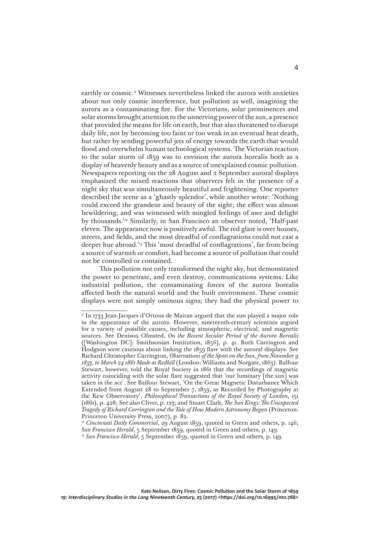earthly or cosmic.<sup>11</sup> Witnesses nevertheless linked the aurora with anxieties about not only cosmic interference, but pollution as well, imagining the aurora as a contaminating fire. For the Victorians, solar prominences and solar storms brought attention to the unnerving power of the sun, a presence that provided the means for life on earth, but that also threatened to disrupt daily life, not by becoming too faint or too weak in an eventual heat death, but rather by sending powerful jets of energy towards the earth that would flood and overwhelm human technological systems. The Victorian reaction to the solar storm of 1859 was to envision the aurora borealis both as a display of heavenly beauty and as a source of unexplained cosmic pollution. Newspapers reporting on the 28 August and 2 September auroral displays emphasized the mixed reactions that observers felt in the presence of a night sky that was simultaneously beautiful and frightening. One reporter described the scene as a 'ghastly splendor', while another wrote: 'Nothing could exceed the grandeur and beauty of the sight; the effect was almost bewildering, and was witnessed with mingled feelings of awe and delight by thousands.'12 Similarly, in San Francisco an observer noted, 'Half-past eleven. The appearance now is positively awful. The red glare is over houses, streets, and fields, and the most dreadful of conflagrations could not cast a deeper hue abroad.'13 This 'most dreadful of conflagrations', far from being a source of warmth or comfort, had become a source of pollution that could not be controlled or contained.

This pollution not only transformed the night sky, but demonstrated the power to penetrate, and even destroy, communications systems. Like industrial pollution, the contaminating forces of the aurora borealis affected both the natural world and the built environment. These cosmic displays were not simply ominous signs; they had the physical power to

<sup>&</sup>lt;sup>11</sup> In 1733 Jean-Jacques d'Ortous de Mairan argued that the sun played a major role in the appearance of the aurora. However, nineteenth-century scientists argued for a variety of possible causes, including atmospheric, electrical, and magnetic sources. See Denison Olmsted, *On the Recent Secular Period of the Aurora Borealis* ([Washington DC]: Smithsonian Institution, 1856), p. 41. Both Carrington and Hodgson were cautious about linking the 1859 flare with the auroral displays. See Richard Christopher Carrington, *Observations of the Spots on the Sun, from November 9 1853, to March 24 1861 Made at Redhill* (London: Williams and Norgate, 1863). Balfour Stewart, however, told the Royal Society in 1861 that the recordings of magnetic activity coinciding with the solar flare suggested that 'our luminary [the sun] was taken in the act'. See Balfour Stewart, 'On the Great Magnetic Disturbance Which Extended from August 28 to September 7, 1859, as Recorded by Photography at the Kew Observatory', *Philosophical Transactions of the Royal Society of London*, 151 (1861), p. 428; See also Cliver, p. 123; and Stuart Clark, *The Sun Kings: The Unexpected Tragedy of Richard Carrington and the Tale of How Modern Astronomy Began* (Princeton: Princeton University Press, 2007), p. 82.

<sup>12</sup> *Cincinnati Daily Commercial*, 29 August 1859, quoted in Green and others, p. 146; *San Francisco Herald*, 5 September 1859, quoted in Green and others, p. 149.

<sup>&</sup>lt;sup>13</sup> *San Francisco Herald*, 5 September 1859, quoted in Green and others, p. 149.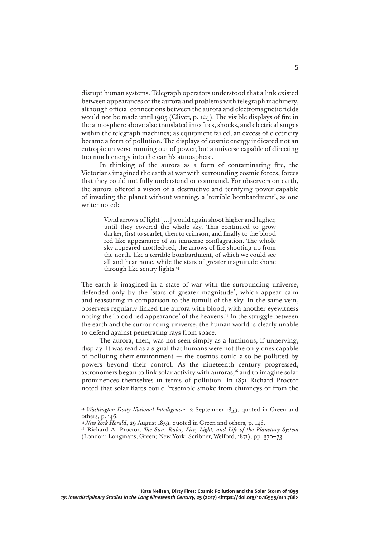disrupt human systems. Telegraph operators understood that a link existed between appearances of the aurora and problems with telegraph machinery, although official connections between the aurora and electromagnetic fields would not be made until 1905 (Cliver, p. 124). The visible displays of fire in the atmosphere above also translated into fires, shocks, and electrical surges within the telegraph machines; as equipment failed, an excess of electricity became a form of pollution. The displays of cosmic energy indicated not an entropic universe running out of power, but a universe capable of directing too much energy into the earth's atmosphere.

In thinking of the aurora as a form of contaminating fire, the Victorians imagined the earth at war with surrounding cosmic forces, forces that they could not fully understand or command. For observers on earth, the aurora offered a vision of a destructive and terrifying power capable of invading the planet without warning, a 'terrible bombardment', as one writer noted:

> Vivid arrows of light […] would again shoot higher and higher, until they covered the whole sky. This continued to grow darker, first to scarlet, then to crimson, and finally to the blood red like appearance of an immense conflagration. The whole sky appeared mottled-red, the arrows of fire shooting up from the north, like a terrible bombardment, of which we could see all and hear none, while the stars of greater magnitude shone through like sentry lights.14

The earth is imagined in a state of war with the surrounding universe, defended only by the 'stars of greater magnitude', which appear calm and reassuring in comparison to the tumult of the sky. In the same vein, observers regularly linked the aurora with blood, with another eyewitness noting the 'blood red appearance' of the heavens.<sup>15</sup> In the struggle between the earth and the surrounding universe, the human world is clearly unable to defend against penetrating rays from space.

The aurora, then, was not seen simply as a luminous, if unnerving, display. It was read as a signal that humans were not the only ones capable of polluting their environment  $-$  the cosmos could also be polluted by powers beyond their control. As the nineteenth century progressed, astronomers began to link solar activity with auroras,<sup>16</sup> and to imagine solar prominences themselves in terms of pollution. In 1871 Richard Proctor noted that solar flares could 'resemble smoke from chimneys or from the

<sup>&</sup>lt;sup>14</sup> *Washington Daily National Intelligencer*, 2 September 1859, quoted in Green and others, p. 146.

<sup>&</sup>lt;sup>15</sup> New York Herald, 29 August 1859, quoted in Green and others, p. 146.

<sup>16</sup> Richard A. Proctor, *The Sun: Ruler, Fire, Light, and Life of the Planetary System* (London: Longmans, Green; New York: Scribner, Welford, 1871), pp. 370–73.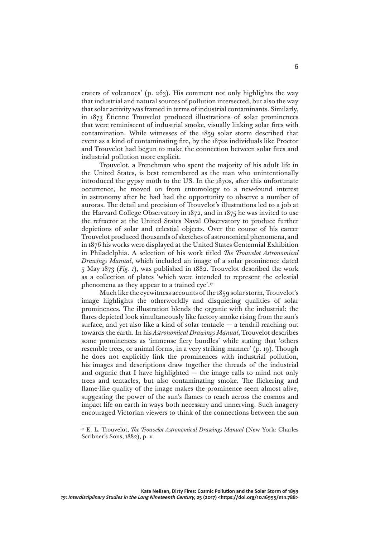craters of volcanoes' (p. 263). His comment not only highlights the way that industrial and natural sources of pollution intersected, but also the way that solar activity was framed in terms of industrial contaminants. Similarly, in 1873 Étienne Trouvelot produced illustrations of solar prominences that were reminiscent of industrial smoke, visually linking solar fires with contamination. While witnesses of the 1859 solar storm described that event as a kind of contaminating fire, by the 1870s individuals like Proctor and Trouvelot had begun to make the connection between solar fires and industrial pollution more explicit.

Trouvelot, a Frenchman who spent the majority of his adult life in the United States, is best remembered as the man who unintentionally introduced the gypsy moth to the US. In the 1870s, after this unfortunate occurrence, he moved on from entomology to a new-found interest in astronomy after he had had the opportunity to observe a number of auroras. The detail and precision of Trouvelot's illustrations led to a job at the Harvard College Observatory in 1872, and in 1875 he was invited to use the refractor at the United States Naval Observatory to produce further depictions of solar and celestial objects. Over the course of his career Trouvelot produced thousands of sketches of astronomical phenomena, and in 1876 his works were displayed at the United States Centennial Exhibition in Philadelphia. A selection of his work titled *The Trouvelot Astronomical Drawings Manual*, which included an image of a solar prominence dated 5 May 1873 (*Fig. 1*), was published in 1882. Trouvelot described the work as a collection of plates 'which were intended to represent the celestial phenomena as they appear to a trained eye'.17

Much like the eyewitness accounts of the 1859 solar storm, Trouvelot's image highlights the otherworldly and disquieting qualities of solar prominences. The illustration blends the organic with the industrial: the flares depicted look simultaneously like factory smoke rising from the sun's surface, and yet also like a kind of solar tentacle  $-$  a tendril reaching out towards the earth. In his *Astronomical Drawings Manual*, Trouvelot describes some prominences as 'immense fiery bundles' while stating that 'others resemble trees, or animal forms, in a very striking manner' (p. 19). Though he does not explicitly link the prominences with industrial pollution, his images and descriptions draw together the threads of the industrial and organic that I have highlighted — the image calls to mind not only trees and tentacles, but also contaminating smoke. The flickering and flame-like quality of the image makes the prominence seem almost alive, suggesting the power of the sun's flames to reach across the cosmos and impact life on earth in ways both necessary and unnerving. Such imagery encouraged Victorian viewers to think of the connections between the sun

<sup>17</sup> E. L. Trouvelot, *The Trouvelot Astronomical Drawings Manual* (New York: Charles Scribner's Sons, 1882), p. v.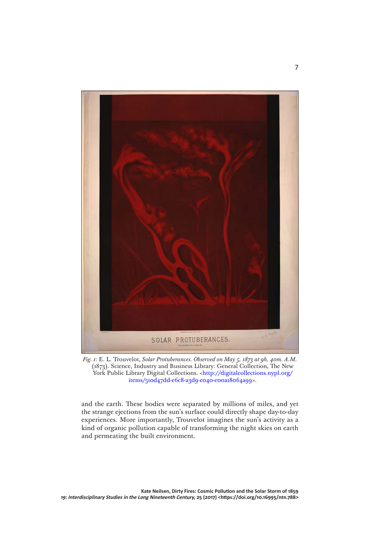

*Fig. 1*: E. L. Trouvelot, *Solar Protuberances. Observed on May 5, 1873 at 9h, 40m. A.M.* (1873). Science, Industry and Business Library: General Collection, The New York Public Library Digital Collections. <[http://digitalcollections.nypl.org/](http://digitalcollections.nypl.org/items/510d47dd-e6c8-a3d9-e040-e00a18064a99) [items/510d47dd-e6c8-a3d9-e040-e00a18064a99>](http://digitalcollections.nypl.org/items/510d47dd-e6c8-a3d9-e040-e00a18064a99).

and the earth. These bodies were separated by millions of miles, and yet the strange ejections from the sun's surface could directly shape day-to-day experiences. More importantly, Trouvelot imagines the sun's activity as a kind of organic pollution capable of transforming the night skies on earth and permeating the built environment.